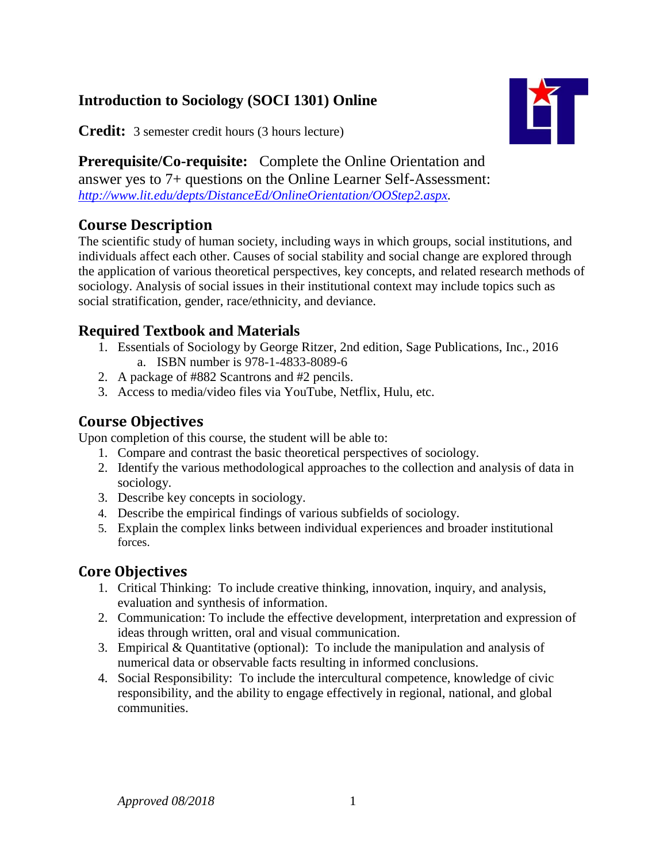# **Introduction to Sociology (SOCI 1301) Online**

**Credit:** 3 semester credit hours (3 hours lecture)

**Prerequisite/Co-requisite:** Complete the Online Orientation and answer yes to 7+ questions on the Online Learner Self-Assessment: *[http://www.lit.edu/depts/DistanceEd/OnlineOrientation/OOStep2.aspx.](http://www.lit.edu/depts/DistanceEd/OnlineOrientation/OOStep2.aspx)*

# **Course Description**

The scientific study of human society, including ways in which groups, social institutions, and individuals affect each other. Causes of social stability and social change are explored through the application of various theoretical perspectives, key concepts, and related research methods of sociology. Analysis of social issues in their institutional context may include topics such as social stratification, gender, race/ethnicity, and deviance.

## **Required Textbook and Materials**

- 1. Essentials of Sociology by George Ritzer, 2nd edition, Sage Publications, Inc., 2016 a. ISBN number is 978-1-4833-8089-6
- 2. A package of #882 Scantrons and #2 pencils.
- 3. Access to media/video files via YouTube, Netflix, Hulu, etc.

## **Course Objectives**

Upon completion of this course, the student will be able to:

- 1. Compare and contrast the basic theoretical perspectives of sociology.
- 2. Identify the various methodological approaches to the collection and analysis of data in sociology.
- 3. Describe key concepts in sociology.
- 4. Describe the empirical findings of various subfields of sociology.
- 5. Explain the complex links between individual experiences and broader institutional forces.

## **Core Objectives**

- 1. Critical Thinking: To include creative thinking, innovation, inquiry, and analysis, evaluation and synthesis of information.
- 2. Communication: To include the effective development, interpretation and expression of ideas through written, oral and visual communication.
- 3. Empirical & Quantitative (optional): To include the manipulation and analysis of numerical data or observable facts resulting in informed conclusions.
- 4. Social Responsibility: To include the intercultural competence, knowledge of civic responsibility, and the ability to engage effectively in regional, national, and global communities.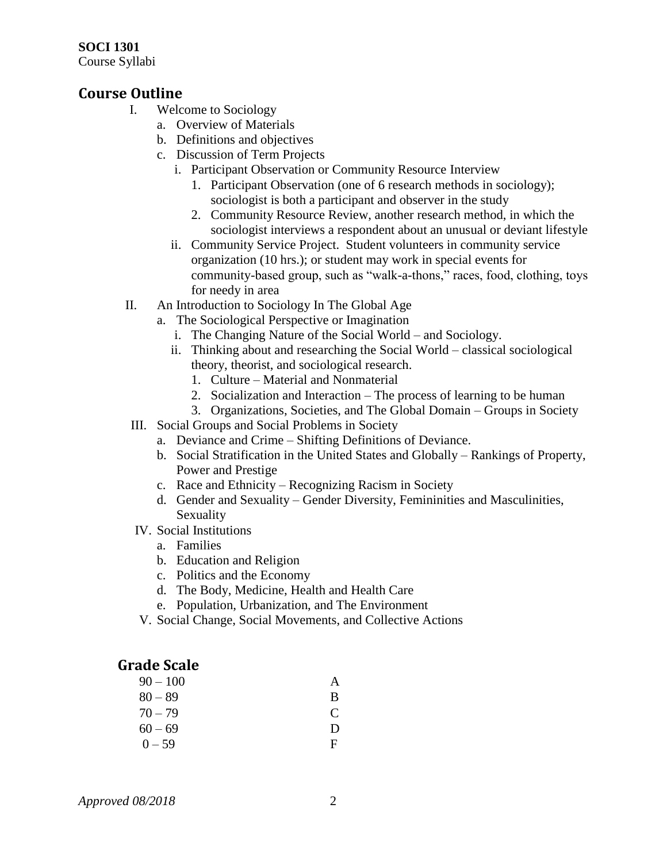#### **SOCI 1301**

Course Syllabi

#### **Course Outline**

- I. Welcome to Sociology
	- a. Overview of Materials
	- b. Definitions and objectives
	- c. Discussion of Term Projects
		- i. Participant Observation or Community Resource Interview
			- 1. Participant Observation (one of 6 research methods in sociology); sociologist is both a participant and observer in the study
			- 2. Community Resource Review, another research method, in which the sociologist interviews a respondent about an unusual or deviant lifestyle
		- ii. Community Service Project. Student volunteers in community service organization (10 hrs.); or student may work in special events for community-based group, such as "walk-a-thons," races, food, clothing, toys for needy in area
- II. An Introduction to Sociology In The Global Age
	- a. The Sociological Perspective or Imagination
		- i. The Changing Nature of the Social World and Sociology.
		- ii. Thinking about and researching the Social World classical sociological theory, theorist, and sociological research.
			- 1. Culture Material and Nonmaterial
			- 2. Socialization and Interaction The process of learning to be human
			- 3. Organizations, Societies, and The Global Domain Groups in Society
	- III. Social Groups and Social Problems in Society
		- a. Deviance and Crime Shifting Definitions of Deviance.
		- b. Social Stratification in the United States and Globally Rankings of Property, Power and Prestige
		- c. Race and Ethnicity Recognizing Racism in Society
		- d. Gender and Sexuality Gender Diversity, Femininities and Masculinities, Sexuality
	- IV. Social Institutions
		- a. Families
		- b. Education and Religion
		- c. Politics and the Economy
		- d. The Body, Medicine, Health and Health Care
		- e. Population, Urbanization, and The Environment
	- V. Social Change, Social Movements, and Collective Actions

#### **Grade Scale**

| $90 - 100$ | A            |
|------------|--------------|
| $80 - 89$  | B            |
| $70 - 79$  | C            |
| $60 - 69$  | $\mathbf{D}$ |
| $0 - 59$   | F            |
|            |              |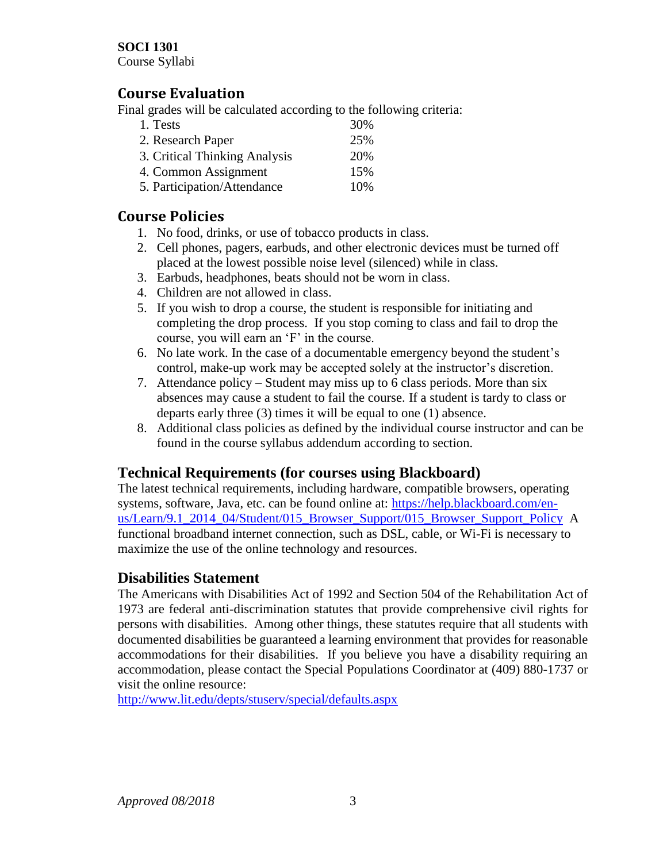#### **SOCI 1301**

Course Syllabi

### **Course Evaluation**

Final grades will be calculated according to the following criteria:

| 1. Tests                      | 30% |
|-------------------------------|-----|
| 2. Research Paper             | 25% |
| 3. Critical Thinking Analysis | 20% |
| 4. Common Assignment          | 15% |
| 5. Participation/Attendance   | 10% |

## **Course Policies**

- 1. No food, drinks, or use of tobacco products in class.
- 2. Cell phones, pagers, earbuds, and other electronic devices must be turned off placed at the lowest possible noise level (silenced) while in class.
- 3. Earbuds, headphones, beats should not be worn in class.
- 4. Children are not allowed in class.
- 5. If you wish to drop a course, the student is responsible for initiating and completing the drop process. If you stop coming to class and fail to drop the course, you will earn an 'F' in the course.
- 6. No late work. In the case of a documentable emergency beyond the student's control, make-up work may be accepted solely at the instructor's discretion.
- 7. Attendance policy Student may miss up to 6 class periods. More than six absences may cause a student to fail the course. If a student is tardy to class or departs early three (3) times it will be equal to one (1) absence.
- 8. Additional class policies as defined by the individual course instructor and can be found in the course syllabus addendum according to section.

## **Technical Requirements (for courses using Blackboard)**

The latest technical requirements, including hardware, compatible browsers, operating systems, software, Java, etc. can be found online at: [https://help.blackboard.com/en](https://help.blackboard.com/en-us/Learn/9.1_2014_04/Student/015_Browser_Support/015_Browser_Support_Policy)[us/Learn/9.1\\_2014\\_04/Student/015\\_Browser\\_Support/015\\_Browser\\_Support\\_Policy](https://help.blackboard.com/en-us/Learn/9.1_2014_04/Student/015_Browser_Support/015_Browser_Support_Policy) A functional broadband internet connection, such as DSL, cable, or Wi-Fi is necessary to maximize the use of the online technology and resources.

### **Disabilities Statement**

The Americans with Disabilities Act of 1992 and Section 504 of the Rehabilitation Act of 1973 are federal anti-discrimination statutes that provide comprehensive civil rights for persons with disabilities. Among other things, these statutes require that all students with documented disabilities be guaranteed a learning environment that provides for reasonable accommodations for their disabilities. If you believe you have a disability requiring an accommodation, please contact the Special Populations Coordinator at (409) 880-1737 or visit the online resource:

<http://www.lit.edu/depts/stuserv/special/defaults.aspx>